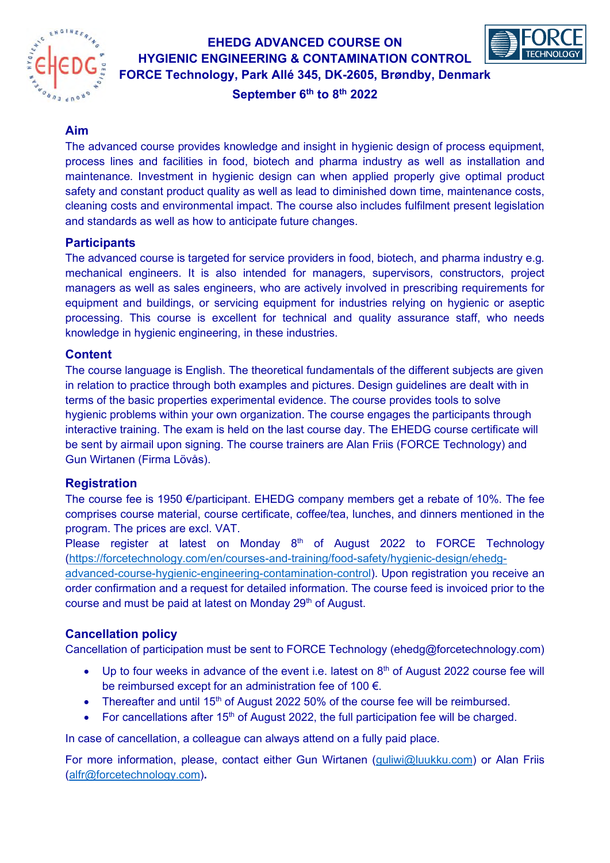

# **EHEDG ADVANCED COURSE ON HYGIENIC ENGINEERING & CONTAMINATION CONTROL FORCE Technology, Park Allé 345, DK-2605, Brøndby, Denmark**



**September 6th to 8th 2022**

## **Aim**

The advanced course provides knowledge and insight in hygienic design of process equipment, process lines and facilities in food, biotech and pharma industry as well as installation and maintenance. Investment in hygienic design can when applied properly give optimal product safety and constant product quality as well as lead to diminished down time, maintenance costs, cleaning costs and environmental impact. The course also includes fulfilment present legislation and standards as well as how to anticipate future changes.

## **Participants**

The advanced course is targeted for service providers in food, biotech, and pharma industry e.g. mechanical engineers. It is also intended for managers, supervisors, constructors, project managers as well as sales engineers, who are actively involved in prescribing requirements for equipment and buildings, or servicing equipment for industries relying on hygienic or aseptic processing. This course is excellent for technical and quality assurance staff, who needs knowledge in hygienic engineering, in these industries.

#### **Content**

The course language is English. The theoretical fundamentals of the different subjects are given in relation to practice through both examples and pictures. Design guidelines are dealt with in terms of the basic properties experimental evidence. The course provides tools to solve hygienic problems within your own organization. The course engages the participants through interactive training. The exam is held on the last course day. The EHEDG course certificate will be sent by airmail upon signing. The course trainers are Alan Friis (FORCE Technology) and Gun Wirtanen (Firma Lövås).

# **Registration**

The course fee is 1950 €/participant. EHEDG company members get a rebate of 10%. The fee comprises course material, course certificate, coffee/tea, lunches, and dinners mentioned in the program. The prices are excl. VAT.

Please register at latest on Monday  $8<sup>th</sup>$  of August 2022 to FORCE Technology [\(https://forcetechnology.com/en/courses-and-training/food-safety/hygienic-design/ehedg](https://forcetechnology.com/en/courses-and-training/food-safety/hygienic-design/ehedg-advanced-course-hygienic-engineering-contamination-control)[advanced-course-hygienic-engineering-contamination-control\)](https://forcetechnology.com/en/courses-and-training/food-safety/hygienic-design/ehedg-advanced-course-hygienic-engineering-contamination-control). Upon registration you receive an order confirmation and a request for detailed information. The course feed is invoiced prior to the course and must be paid at latest on Monday 29<sup>th</sup> of August.

# **Cancellation policy**

Cancellation of participation must be sent to FORCE Technology (ehedg@forcetechnology.com)

- $\bullet$  Up to four weeks in advance of the event i.e. latest on  $8<sup>th</sup>$  of August 2022 course fee will be reimbursed except for an administration fee of 100 €.
- Thereafter and until 15<sup>th</sup> of August 2022 50% of the course fee will be reimbursed.
- For cancellations after  $15<sup>th</sup>$  of August 2022, the full participation fee will be charged.

In case of cancellation, a colleague can always attend on a fully paid place.

For more information, please, contact either Gun Wirtanen [\(guliwi@luukku.com\)](mailto:guliwi@luukku.com) or Alan Friis [\(alfr@forcetechnology.com\)](mailto:alfr@forcetechnology.com)**.**